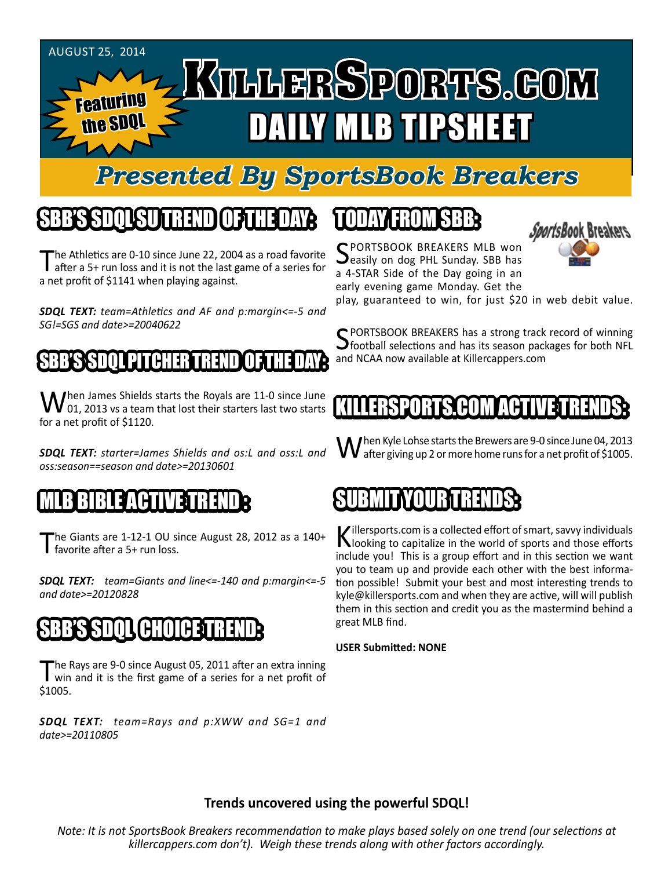

## *Presented By SportsBook Breakers*

#### SBB'S SDQL SU TREND OF THE DAY:

The Athletics are 0-10 since June 22, 2004 as a road favorite<br>after a 5+ run loss and it is not the last game of a series for a net profit of \$1141 when playing against.

*SDQL TEXT: team=Athletics and AF and p:margin<=-5 and SG!=SGS and date>=20040622*

#### SABB'S SPAND I DITTER TREND OF THE DAY

When James Shields starts the Royals are 11-0 since June<br>
01, 2013 vs a team that lost their starters last two starts for a net profit of \$1120.

*SDQL TEXT: starter=James Shields and os:L and oss:L and oss:season==season and date>=20130601*

#### E MET

The Giants are  $1-12-1$  OU since August 28, 2012 as a  $140+$ favorite after a 5+ run loss.

*SDQL TEXT: team=Giants and line<=-140 and p:margin<=-5 and date>=20120828*

#### SBB'S SDQL CHOICE TREND

The Rays are 9-0 since August 05, 2011 after an extra inning<br>win and it is the first game of a series for a net profit of \$1005.

*SDQL TEXT: team=Rays and p:XWW and SG=1 and date>=20110805*

## TODAY HAOMSBB

SPORTSBOOK BREAKERS MLB won<br>Seasily on dog PHL Sunday. SBB has a 4-STAR Side of the Day going in an early evening game Monday. Get the



play, guaranteed to win, for just \$20 in web debit value.

C PORTSBOOK BREAKERS has a strong track record of winning  $\bigcup$  football selections and has its season packages for both NFL and NCAA now available at Killercappers.com

#### KILLERSPORTS.COM ACTIVE TRENDS:

When Kyle Lohse starts the Brewers are 9-0 since June 04, 2013 after giving up 2 or more home runs for a net profit of \$1005.

#### SUBMITYOURTURENDS:

Killersports.com is a collected effort of smart, savvy individuals<br>Nooking to capitalize in the world of sports and those efforts include you! This is a group effort and in this section we want you to team up and provide each other with the best information possible! Submit your best and most interesting trends to kyle@killersports.com and when they are active, will will publish them in this section and credit you as the mastermind behind a great MLB find.

#### **USER Submitted: NONE**

#### **Trends uncovered using the powerful SDQL!**

*Note: It is not SportsBook Breakers recommendation to make plays based solely on one trend (our selections at killercappers.com don't). Weigh these trends along with other factors accordingly.*